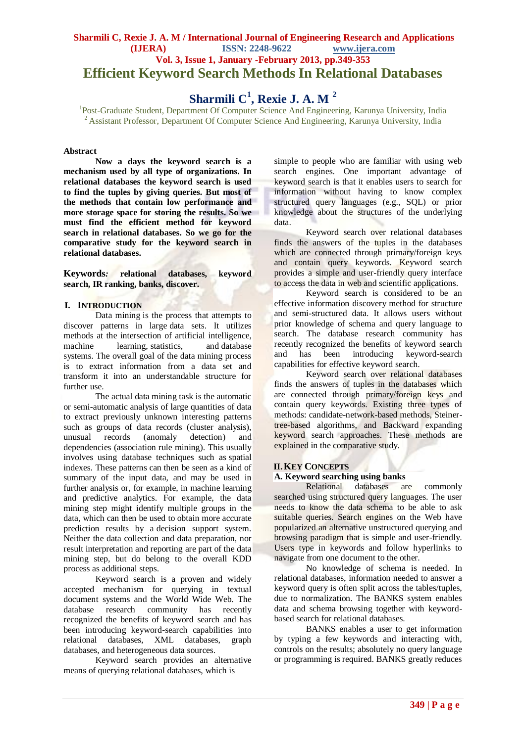## **Sharmili C, Rexie J. A. M / International Journal of Engineering Research and Applications (IJERA) ISSN: 2248-9622 www.ijera.com Vol. 3, Issue 1, January -February 2013, pp.349-353 Efficient Keyword Search Methods In Relational Databases**

# **Sharmili C<sup>1</sup> , Rexie J. A. M <sup>2</sup>**

<sup>1</sup>Post-Graduate Student, Department Of Computer Science And Engineering, Karunya University, India <sup>2</sup> Assistant Professor, Department Of Computer Science And Engineering, Karunya University, India

#### **Abstract**

**Now a days the keyword search is a mechanism used by all type of organizations. In relational databases the keyword search is used to find the tuples by giving queries. But most of the methods that contain low performance and more storage space for storing the results. So we must find the efficient method for keyword search in relational databases. So we go for the comparative study for the keyword search in relational databases.**

**Keywords***:* **relational databases, keyword search, IR ranking, banks, discover.**

#### **I. INTRODUCTION**

Data mining is the process that attempts to discover patterns in large [data sets.](http://en.wikipedia.org/wiki/Data_set) It utilizes methods at the intersection of artificial [intelligence,](http://en.wikipedia.org/wiki/Artificial_intelligence) [machine learning,](http://en.wikipedia.org/wiki/Machine_learning) [statistics,](http://en.wikipedia.org/wiki/Statistics) and database [systems.](http://en.wikipedia.org/wiki/Database_system) The overall goal of the data mining process is to extract information from a data set and transform it into an understandable structure for further use.

The actual data mining task is the automatic or semi-automatic analysis of large quantities of data to extract previously unknown interesting patterns such as groups of data records [\(cluster analysis\)](http://en.wikipedia.org/wiki/Cluster_analysis), unusual records [\(anomaly detection\)](http://en.wikipedia.org/wiki/Anomaly_detection) and dependencies [\(association rule mining\)](http://en.wikipedia.org/wiki/Association_rule_mining). This usually involves using database techniques such as [spatial](http://en.wikipedia.org/wiki/Spatial_index)  [indexes.](http://en.wikipedia.org/wiki/Spatial_index) These patterns can then be seen as a kind of summary of the input data, and may be used in further analysis or, for example, in [machine](http://en.wikipedia.org/wiki/Machine_learning) learning and [predictive analytics.](http://en.wikipedia.org/wiki/Predictive_analytics) For example, the data mining step might identify multiple groups in the data, which can then be used to obtain more accurate prediction results by a [decision support system.](http://en.wikipedia.org/wiki/Decision_support_system) Neither the data collection and data preparation, nor result interpretation and reporting are part of the data mining step, but do belong to the overall KDD process as additional steps.

Keyword search is a proven and widely accepted mechanism for querying in textual document systems and the World Wide Web. The database research community has recently recognized the benefits of keyword search and has been introducing keyword-search capabilities into relational databases, XML databases, graph databases, and heterogeneous data sources.

Keyword search provides an alternative means of querying relational databases, which is

simple to people who are familiar with using web search engines. One important advantage of keyword search is that it enables users to search for information without having to know complex structured query languages (e.g., SQL) or prior knowledge about the structures of the underlying data.

Keyword search over relational databases finds the answers of the tuples in the databases which are connected through primary/foreign keys and contain query keywords. Keyword search provides a simple and user-friendly query interface to access the data in web and scientific applications.

Keyword search is considered to be an effective information discovery method for structure and semi-structured data. It allows users without prior knowledge of schema and query language to search. The database research community has recently recognized the benefits of keyword search and has been introducing keyword-search capabilities for effective keyword search.

Keyword search over relational databases finds the answers of tuples in the databases which are connected through primary/foreign keys and contain query keywords. Existing three types of methods: candidate-network-based methods, Steinertree-based algorithms, and Backward expanding keyword search approaches. These methods are explained in the comparative study.

#### **II.KEY CONCEPTS**

#### **A***.* **Keyword searching using banks**

Relational databases are commonly searched using structured query languages. The user needs to know the data schema to be able to ask suitable queries. Search engines on the Web have popularized an alternative unstructured querying and browsing paradigm that is simple and user-friendly. Users type in keywords and follow hyperlinks to navigate from one document to the other.

No knowledge of schema is needed. In relational databases, information needed to answer a keyword query is often split across the tables/tuples, due to normalization. The BANKS system enables data and schema browsing together with keywordbased search for relational databases.

BANKS enables a user to get information by typing a few keywords and interacting with, controls on the results; absolutely no query language or programming is required. BANKS greatly reduces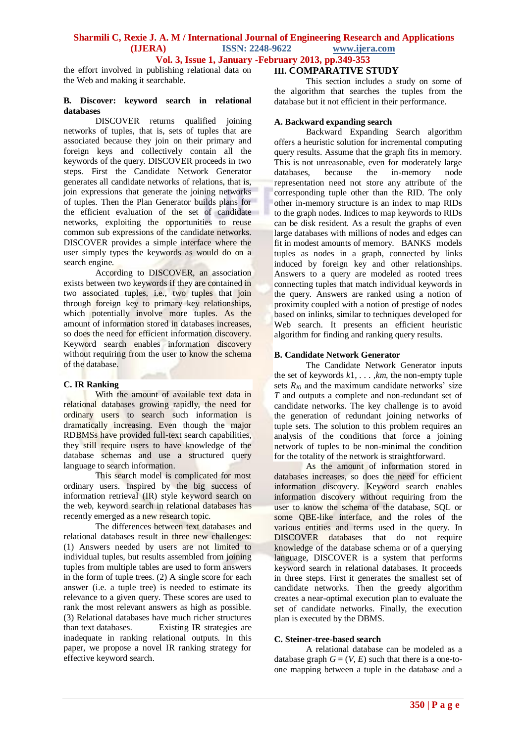the effort involved in publishing relational data on the Web and making it searchable.

#### **B***.* **Discover: keyword search in relational databases**

DISCOVER returns qualified joining networks of tuples, that is, sets of tuples that are associated because they join on their primary and foreign keys and collectively contain all the keywords of the query. DISCOVER proceeds in two steps. First the Candidate Network Generator generates all candidate networks of relations, that is, join expressions that generate the joining networks of tuples. Then the Plan Generator builds plans for the efficient evaluation of the set of candidate networks, exploiting the opportunities to reuse common sub expressions of the candidate networks. DISCOVER provides a simple interface where the user simply types the keywords as would do on a search engine.

According to DISCOVER, an association exists between two keywords if they are contained in two associated tuples, i.e., two tuples that join through foreign key to primary key relationships, which potentially involve more tuples. As the amount of information stored in databases increases, so does the need for efficient information discovery. Keyword search enables information discovery without requiring from the user to know the schema of the database.

#### **C. IR Ranking**

With the amount of available text data in relational databases growing rapidly, the need for ordinary users to search such information is dramatically increasing. Even though the major RDBMSs have provided full-text search capabilities, they still require users to have knowledge of the database schemas and use a structured query language to search information.

This search model is complicated for most ordinary users. Inspired by the big success of information retrieval (IR) style keyword search on the web, keyword search in relational databases has recently emerged as a new research topic.

The differences between text databases and relational databases result in three new challenges: (1) Answers needed by users are not limited to individual tuples, but results assembled from joining tuples from multiple tables are used to form answers in the form of tuple trees. (2) A single score for each answer (i.e. a tuple tree) is needed to estimate its relevance to a given query. These scores are used to rank the most relevant answers as high as possible. (3) Relational databases have much richer structures than text databases. Existing IR strategies are inadequate in ranking relational outputs. In this paper, we propose a novel IR ranking strategy for effective keyword search.

## **III. COMPARATIVE STUDY**

This section includes a study on some of the algorithm that searches the tuples from the database but it not efficient in their performance.

### **A. Backward expanding search**

Backward Expanding Search algorithm offers a heuristic solution for incremental computing query results. Assume that the graph fits in memory. This is not unreasonable, even for moderately large databases, because the in-memory node representation need not store any attribute of the corresponding tuple other than the RID. The only other in-memory structure is an index to map RIDs to the graph nodes. Indices to map keywords to RIDs can be disk resident. As a result the graphs of even large databases with millions of nodes and edges can fit in modest amounts of memory. BANKS models tuples as nodes in a graph, connected by links induced by foreign key and other relationships. Answers to a query are modeled as rooted trees connecting tuples that match individual keywords in the query. Answers are ranked using a notion of proximity coupled with a notion of prestige of nodes based on inlinks, similar to techniques developed for Web search. It presents an efficient heuristic algorithm for finding and ranking query results.

## **B. Candidate Network Generator**

The Candidate Network Generator inputs the set of keywords  $k1, \ldots, km$ , the non-empty tuple sets  $R_{ki}$  and the maximum candidate networks' size *T* and outputs a complete and non-redundant set of candidate networks. The key challenge is to avoid the generation of redundant joining networks of tuple sets. The solution to this problem requires an analysis of the conditions that force a joining network of tuples to be non-minimal the condition for the totality of the network is straightforward.

As the amount of information stored in databases increases, so does the need for efficient information discovery. Keyword search enables information discovery without requiring from the user to know the schema of the database, SQL or some QBE-like interface, and the roles of the various entities and terms used in the query. In DISCOVER databases that do not require knowledge of the database schema or of a querying language, DISCOVER is a system that performs keyword search in relational databases. It proceeds in three steps. First it generates the smallest set of candidate networks. Then the greedy algorithm creates a near-optimal execution plan to evaluate the set of candidate networks. Finally, the execution plan is executed by the DBMS.

## **C. Steiner-tree-based search**

A relational database can be modeled as a database graph  $G = (V, E)$  such that there is a one-toone mapping between a tuple in the database and a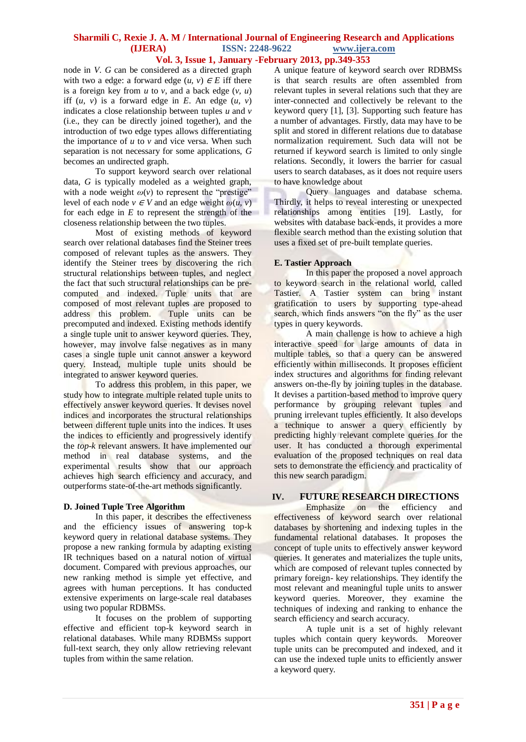node in *V*. *G* can be considered as a directed graph with two a edge: a forward edge  $(u, v) \in E$  iff there is a foreign key from *u* to *v*, and a back edge (*v, u*) iff  $(u, v)$  is a forward edge in  $E$ . An edge  $(u, v)$ indicates a close relationship between tuples *u* and *v*  (i.e., they can be directly joined together), and the introduction of two edge types allows differentiating the importance of *u* to *v* and vice versa. When such separation is not necessary for some applications, *G*  becomes an undirected graph.

To support keyword search over relational data, *G* is typically modeled as a weighted graph, with a node weight  $\omega(v)$  to represent the "prestige" level of each node  $v \in V$  and an edge weight  $\omega(u, v)$ for each edge in *E* to represent the strength of the closeness relationship between the two tuples.

Most of existing methods of keyword search over relational databases find the Steiner trees composed of relevant tuples as the answers. They identify the Steiner trees by discovering the rich structural relationships between tuples, and neglect the fact that such structural relationships can be precomputed and indexed. Tuple units that are composed of most relevant tuples are proposed to address this problem. Tuple units can be precomputed and indexed. Existing methods identify a single tuple unit to answer keyword queries. They, however, may involve false negatives as in many cases a single tuple unit cannot answer a keyword query. Instead, multiple tuple units should be integrated to answer keyword queries.

To address this problem, in this paper, we study how to integrate multiple related tuple units to effectively answer keyword queries. It devises novel indices and incorporates the structural relationships between different tuple units into the indices. It uses the indices to efficiently and progressively identify the *top*-*k* relevant answers. It have implemented our method in real database systems, and the experimental results show that our approach achieves high search efficiency and accuracy, and outperforms state-of-the-art methods significantly.

#### **D. Joined Tuple Tree Algorithm**

In this paper, it describes the effectiveness and the efficiency issues of answering top-k keyword query in relational database systems. They propose a new ranking formula by adapting existing IR techniques based on a natural notion of virtual document. Compared with previous approaches, our new ranking method is simple yet effective, and agrees with human perceptions. It has conducted extensive experiments on large-scale real databases using two popular RDBMSs.

It focuses on the problem of supporting effective and efficient top-k keyword search in relational databases. While many RDBMSs support full-text search, they only allow retrieving relevant tuples from within the same relation.

A unique feature of keyword search over RDBMSs is that search results are often assembled from relevant tuples in several relations such that they are inter-connected and collectively be relevant to the keyword query [1], [3]. Supporting such feature has a number of advantages. Firstly, data may have to be split and stored in different relations due to database normalization requirement. Such data will not be returned if keyword search is limited to only single relations. Secondly, it lowers the barrier for casual users to search databases, as it does not require users to have knowledge about

Query languages and database schema. Thirdly, it helps to reveal interesting or unexpected relationships among entities [19]. Lastly, for websites with database back-ends, it provides a more flexible search method than the existing solution that uses a fixed set of pre-built template queries.

## **E. Tastier Approach**

In this paper the proposed a novel approach to keyword search in the relational world, called Tastier. A Tastier system can bring instant gratification to users by supporting type-ahead search, which finds answers "on the fly" as the user types in query keywords.

A main challenge is how to achieve a high interactive speed for large amounts of data in multiple tables, so that a query can be answered efficiently within milliseconds. It proposes efficient index structures and algorithms for finding relevant answers on-the-fly by joining tuples in the database. It devises a partition-based method to improve query performance by grouping relevant tuples and pruning irrelevant tuples efficiently. It also develops a technique to answer a query efficiently by predicting highly relevant complete queries for the user. It has conducted a thorough experimental evaluation of the proposed techniques on real data sets to demonstrate the efficiency and practicality of this new search paradigm.

## **IV. FUTURE RESEARCH DIRECTIONS**

Emphasize on the efficiency and effectiveness of keyword search over relational databases by shortening and indexing tuples in the fundamental relational databases. It proposes the concept of tuple units to effectively answer keyword queries. It generates and materializes the tuple units, which are composed of relevant tuples connected by primary foreign- key relationships. They identify the most relevant and meaningful tuple units to answer keyword queries. Moreover, they examine the techniques of indexing and ranking to enhance the search efficiency and search accuracy.

A tuple unit is a set of highly relevant tuples which contain query keywords. Moreover tuple units can be precomputed and indexed, and it can use the indexed tuple units to efficiently answer a keyword query.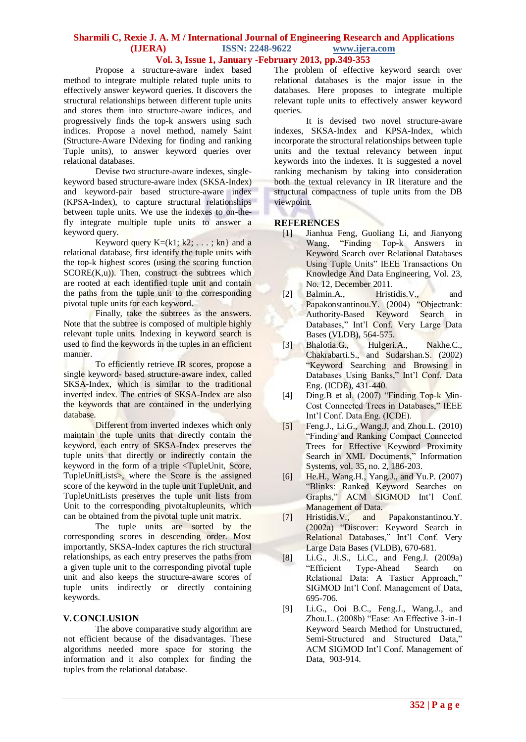Propose a structure-aware index based method to integrate multiple related tuple units to effectively answer keyword queries. It discovers the structural relationships between different tuple units and stores them into structure-aware indices, and progressively finds the top-k answers using such indices. Propose a novel method, namely Saint (Structure-Aware INdexing for finding and ranking Tuple units), to answer keyword queries over relational databases.

Devise two structure-aware indexes, singlekeyword based structure-aware index (SKSA-Index) and keyword-pair based structure-aware index (KPSA-Index), to capture structural relationships between tuple units. We use the indexes to on-thefly integrate multiple tuple units to answer a keyword query.

Keyword query  $K=(k1; k2; \ldots; kn)$  and a relational database, first identify the tuple units with the top-k highest scores (using the scoring function SCORE(K,u)). Then, construct the subtrees which are rooted at each identified tuple unit and contain the paths from the tuple unit to the corresponding pivotal tuple units for each keyword.

Finally, take the subtrees as the answers. Note that the subtree is composed of multiple highly relevant tuple units. Indexing in keyword search is used to find the keywords in the tuples in an efficient manner.

To efficiently retrieve IR scores, propose a single keyword- based structure-aware index, called SKSA-Index, which is similar to the traditional inverted index. The entries of SKSA-Index are also the keywords that are contained in the underlying database.

Different from inverted indexes which only maintain the tuple units that directly contain the keyword, each entry of SKSA-Index preserves the tuple units that directly or indirectly contain the keyword in the form of a triple <TupleUnit, Score, TupleUnitLists>, where the Score is the assigned score of the keyword in the tuple unit TupleUnit, and TupleUnitLists preserves the tuple unit lists from Unit to the corresponding pivotaltupleunits, which can be obtained from the pivotal tuple unit matrix.

The tuple units are sorted by the corresponding scores in descending order. Most importantly, SKSA-Index captures the rich structural relationships, as each entry preserves the paths from a given tuple unit to the corresponding pivotal tuple unit and also keeps the structure-aware scores of tuple units indirectly or directly containing keywords.

## **V.CONCLUSION**

The above comparative study algorithm are not efficient because of the disadvantages. These algorithms needed more space for storing the information and it also complex for finding the tuples from the relational database.

The problem of effective keyword search over relational databases is the major issue in the databases. Here proposes to integrate multiple relevant tuple units to effectively answer keyword queries.

It is devised two novel structure-aware indexes, SKSA-Index and KPSA-Index, which incorporate the structural relationships between tuple units and the textual relevancy between input keywords into the indexes. It is suggested a novel ranking mechanism by taking into consideration both the textual relevancy in IR literature and the structural compactness of tuple units from the DB viewpoint.

#### **REFERENCES**

- [1] Jianhua Feng, Guoliang Li, and Jianyong Wang, "Finding Top-k Answers in Keyword Search over Relational Databases Using Tuple Units" IEEE Transactions On Knowledge And Data Engineering, Vol. 23, No. 12, December 2011.
- [2] Balmin.A., Hristidis.V., Papakonstantinou.Y. (2004) "Objectrank: Authority-Based Keyword Search in Databases," Int'l Conf. Very Large Data Bases (VLDB), 564-575.
- [3] Bhalotia.G., Hulgeri.A., Nakhe.C., Chakrabarti.S., and Sudarshan.S. (2002) "Keyword Searching and Browsing in Databases Using Banks," Int'l Conf. Data Eng. (ICDE), 431-440.
- [4] Ding.B et al. (2007) "Finding Top-k Min-Cost Connected Trees in Databases," IEEE Int'l Conf. Data Eng. (ICDE).
- [5] Feng.J., Li.G., Wang.J, and Zhou.L. (2010) "Finding and Ranking Compact Connected Trees for Effective Keyword Proximity Search in XML Documents," Information Systems, vol. 35, no. 2, 186-203.
- [6] He.H., Wang.H., Yang.J., and Yu.P. (2007) "Blinks: Ranked Keyword Searches on Graphs," ACM SIGMOD Int'l Conf. Management of Data.
- [7] Hristidis.V., and Papakonstantinou.Y. (2002a) "Discover: Keyword Search in Relational Databases," Int'l Conf. Very Large Data Bases (VLDB), 670-681.
- [8] Li.G., Ji.S., Li.C., and Feng.J. (2009a) Type-Ahead Search on Relational Data: A Tastier Approach," SIGMOD Int'l Conf. Management of Data, 695-706.
- [9] Li.G., Ooi B.C., Feng.J., Wang.J., and Zhou.L. (2008b) "Ease: An Effective 3-in-1 Keyword Search Method for Unstructured, Semi-Structured and Structured Data," ACM SIGMOD Int'l Conf. Management of Data, 903-914.